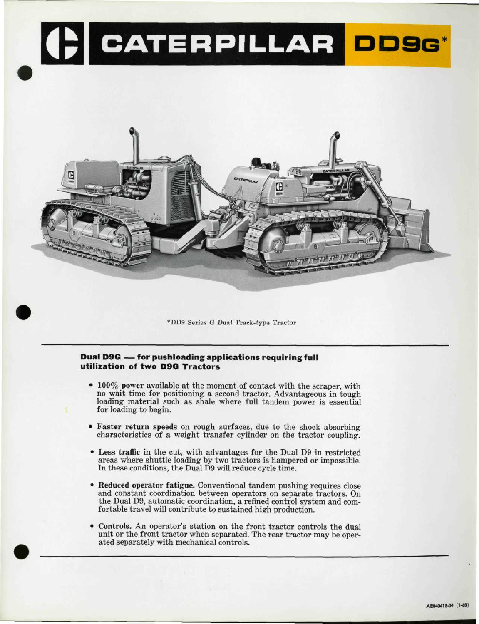



\*DD9 Series G Duál Track-type Tractor

# **Duál D9G — for pushloading applications requiring full utilization of two D9G Tractors**

- 100% power available at the moment of contact with the scraper, with no wait time for positioning a second tractor. Advantageous in tough loading material such as shale where full tandem power is essential for loading to begin.
- Faster return speeds on rough surfaces, due to the shock absorbing characteristics of a weight transfer cylinder on the tractor coupling.
- Less traffic in the cut, with advantages for the Dual D9 in restricted areas where shuttle loading by two tractors is hampered oř impossible. In these conditions, the Dual D9 will reduce cycle time.
- Reduced operator fatigue. Conventional tandem pushing requires close and constant coordination between operators on separate tractors. On the Dual D9, automatic coordination, a refined control system and comfortable travel will contribute to sustained high production.
- Controls. An operator's station on the front tractor controls the dual unit or the front tractor when separated. The rear tractor may be operated separately with mechanical controls.